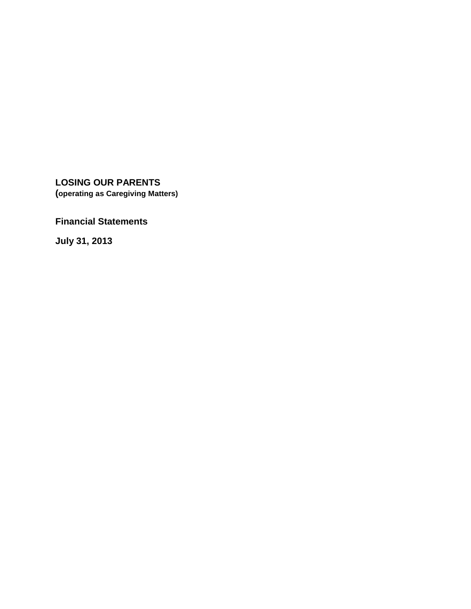**LOSING OUR PARENTS (operating as Caregiving Matters)**

**Financial Statements**

**July 31, 2013**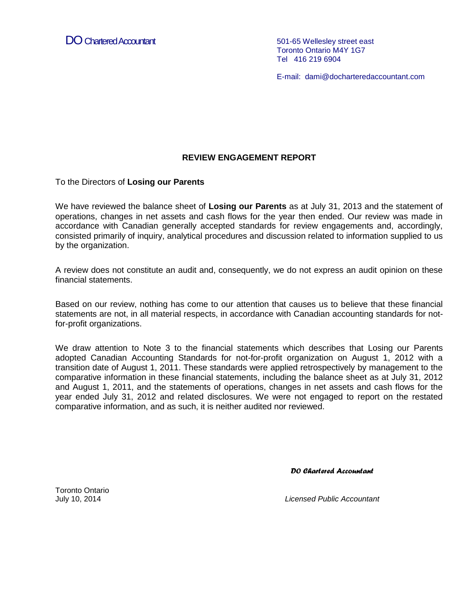DO Chartered Accountant 601-65 Wellesley street east

Toronto Ontario M4Y 1G7 Tel 416 219 6904

E-mail: dami@docharteredaccountant.com

### **REVIEW ENGAGEMENT REPORT**

To the Directors of **Losing our Parents**

We have reviewed the balance sheet of **Losing our Parents** as at July 31, 2013 and the statement of operations, changes in net assets and cash flows for the year then ended. Our review was made in accordance with Canadian generally accepted standards for review engagements and, accordingly, consisted primarily of inquiry, analytical procedures and discussion related to information supplied to us by the organization.

A review does not constitute an audit and, consequently, we do not express an audit opinion on these financial statements.

Based on our review, nothing has come to our attention that causes us to believe that these financial statements are not, in all material respects, in accordance with Canadian accounting standards for notfor-profit organizations.

We draw attention to Note 3 to the financial statements which describes that Losing our Parents adopted Canadian Accounting Standards for not-for-profit organization on August 1, 2012 with a transition date of August 1, 2011. These standards were applied retrospectively by management to the comparative information in these financial statements, including the balance sheet as at July 31, 2012 and August 1, 2011, and the statements of operations, changes in net assets and cash flows for the year ended July 31, 2012 and related disclosures. We were not engaged to report on the restated comparative information, and as such, it is neither audited nor reviewed.

*DO Chartered Accountant* 

Toronto Ontario

July 10, 2014 *Licensed Public Accountant*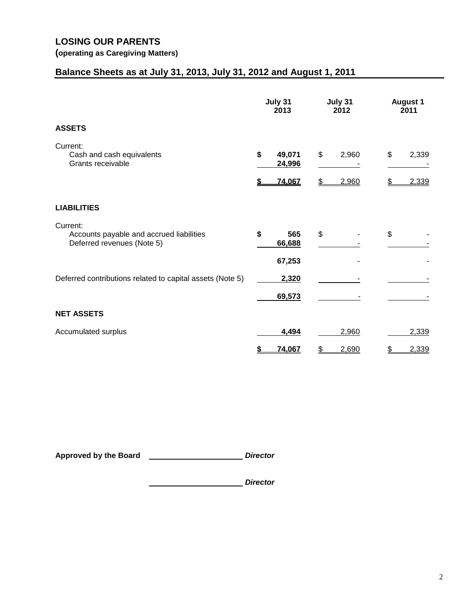# **Balance Sheets as at July 31, 2013, July 31, 2012 and August 1, 2011**

|                                                                                    | July 31<br>2013 |                            | July 31<br>2012 |                | <b>August 1</b><br>2011 |                |
|------------------------------------------------------------------------------------|-----------------|----------------------------|-----------------|----------------|-------------------------|----------------|
| <b>ASSETS</b>                                                                      |                 |                            |                 |                |                         |                |
| Current:<br>Cash and cash equivalents<br>Grants receivable                         | \$              | 49,071<br>24,996<br>74,067 | \$<br>\$        | 2,960<br>2,960 | \$<br>S                 | 2,339<br>2,339 |
| <b>LIABILITIES</b>                                                                 |                 |                            |                 |                |                         |                |
| Current:<br>Accounts payable and accrued liabilities<br>Deferred revenues (Note 5) | \$              | 565<br>66,688              | \$              |                | \$                      |                |
|                                                                                    |                 | 67,253                     |                 |                |                         |                |
| Deferred contributions related to capital assets (Note 5)                          |                 | 2,320<br>69,573            |                 |                |                         |                |
| <b>NET ASSETS</b>                                                                  |                 |                            |                 |                |                         |                |
| Accumulated surplus                                                                |                 | 4,494                      |                 | 2,960          |                         | 2,339          |
|                                                                                    | S               | 74,067                     | \$              | 2,690          | \$                      | 2,339          |

**Approved by the Board** *Director*

*Director*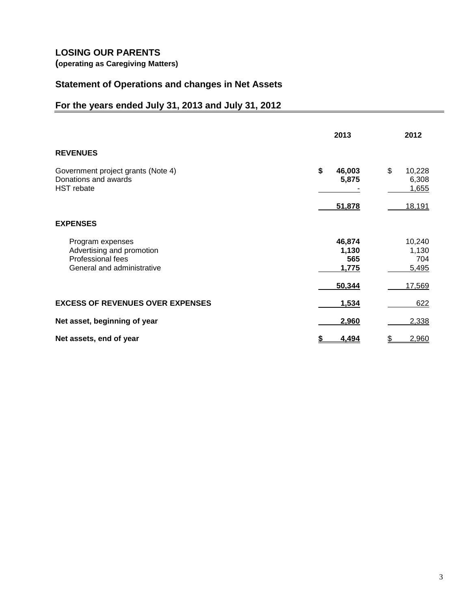# **LOSING OUR PARENTS**

**(operating as Caregiving Matters)**

### **Statement of Operations and changes in Net Assets**

# **For the years ended July 31, 2013 and July 31, 2012**

|                                                                                                  | 2013                            | 2012                            |
|--------------------------------------------------------------------------------------------------|---------------------------------|---------------------------------|
| <b>REVENUES</b>                                                                                  |                                 |                                 |
| Government project grants (Note 4)<br>Donations and awards<br><b>HST</b> rebate                  | \$<br>46,003<br>5,875           | \$<br>10,228<br>6,308<br>1,655  |
| <b>EXPENSES</b>                                                                                  | 51,878                          | <u>18,191</u>                   |
|                                                                                                  |                                 |                                 |
| Program expenses<br>Advertising and promotion<br>Professional fees<br>General and administrative | 46,874<br>1,130<br>565<br>1,775 | 10,240<br>1,130<br>704<br>5,495 |
|                                                                                                  | 50,344                          | 17,569                          |
| <b>EXCESS OF REVENUES OVER EXPENSES</b>                                                          | 1,534                           | 622                             |
| Net asset, beginning of year                                                                     | 2,960                           | 2,338                           |
| Net assets, end of year                                                                          | 4,494<br>\$                     | \$<br>2,960                     |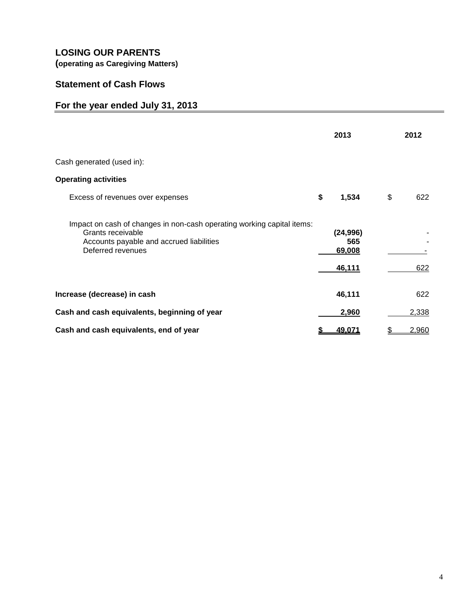# **LOSING OUR PARENTS**

**(operating as Caregiving Matters)**

# **Statement of Cash Flows**

# **For the year ended July 31, 2013**

|                                                                                                                                                              | 2013                                 | 2012      |
|--------------------------------------------------------------------------------------------------------------------------------------------------------------|--------------------------------------|-----------|
| Cash generated (used in):                                                                                                                                    |                                      |           |
| <b>Operating activities</b>                                                                                                                                  |                                      |           |
| Excess of revenues over expenses                                                                                                                             | \$<br>1,534                          | \$<br>622 |
| Impact on cash of changes in non-cash operating working capital items:<br>Grants receivable<br>Accounts payable and accrued liabilities<br>Deferred revenues | (24, 996)<br>565<br>69,008<br>46,111 | 622       |
| Increase (decrease) in cash                                                                                                                                  | 46,111                               | 622       |
| Cash and cash equivalents, beginning of year                                                                                                                 | 2,960                                | 2,338     |
| Cash and cash equivalents, end of year                                                                                                                       | 49,071                               | 2,960     |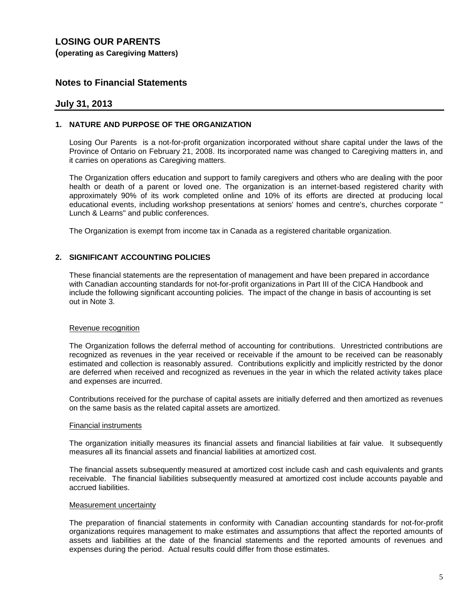### **Notes to Financial Statements**

### **July 31, 2013**

#### **1. NATURE AND PURPOSE OF THE ORGANIZATION**

Losing Our Parents is a not-for-profit organization incorporated without share capital under the laws of the Province of Ontario on February 21, 2008. Its incorporated name was changed to Caregiving matters in, and it carries on operations as Caregiving matters.

The Organization offers education and support to family caregivers and others who are dealing with the poor health or death of a parent or loved one. The organization is an internet-based registered charity with approximately 90% of its work completed online and 10% of its efforts are directed at producing local educational events, including workshop presentations at seniors' homes and centre's, churches corporate " Lunch & Learns" and public conferences.

The Organization is exempt from income tax in Canada as a registered charitable organization.

#### **2. SIGNIFICANT ACCOUNTING POLICIES**

These financial statements are the representation of management and have been prepared in accordance with Canadian accounting standards for not-for-profit organizations in Part III of the CICA Handbook and include the following significant accounting policies. The impact of the change in basis of accounting is set out in Note 3.

#### Revenue recognition

The Organization follows the deferral method of accounting for contributions. Unrestricted contributions are recognized as revenues in the year received or receivable if the amount to be received can be reasonably estimated and collection is reasonably assured. Contributions explicitly and implicitly restricted by the donor are deferred when received and recognized as revenues in the year in which the related activity takes place and expenses are incurred.

Contributions received for the purchase of capital assets are initially deferred and then amortized as revenues on the same basis as the related capital assets are amortized.

#### Financial instruments

The organization initially measures its financial assets and financial liabilities at fair value. It subsequently measures all its financial assets and financial liabilities at amortized cost.

The financial assets subsequently measured at amortized cost include cash and cash equivalents and grants receivable. The financial liabilities subsequently measured at amortized cost include accounts payable and accrued liabilities.

#### Measurement uncertainty

The preparation of financial statements in conformity with Canadian accounting standards for not-for-profit organizations requires management to make estimates and assumptions that affect the reported amounts of assets and liabilities at the date of the financial statements and the reported amounts of revenues and expenses during the period. Actual results could differ from those estimates.